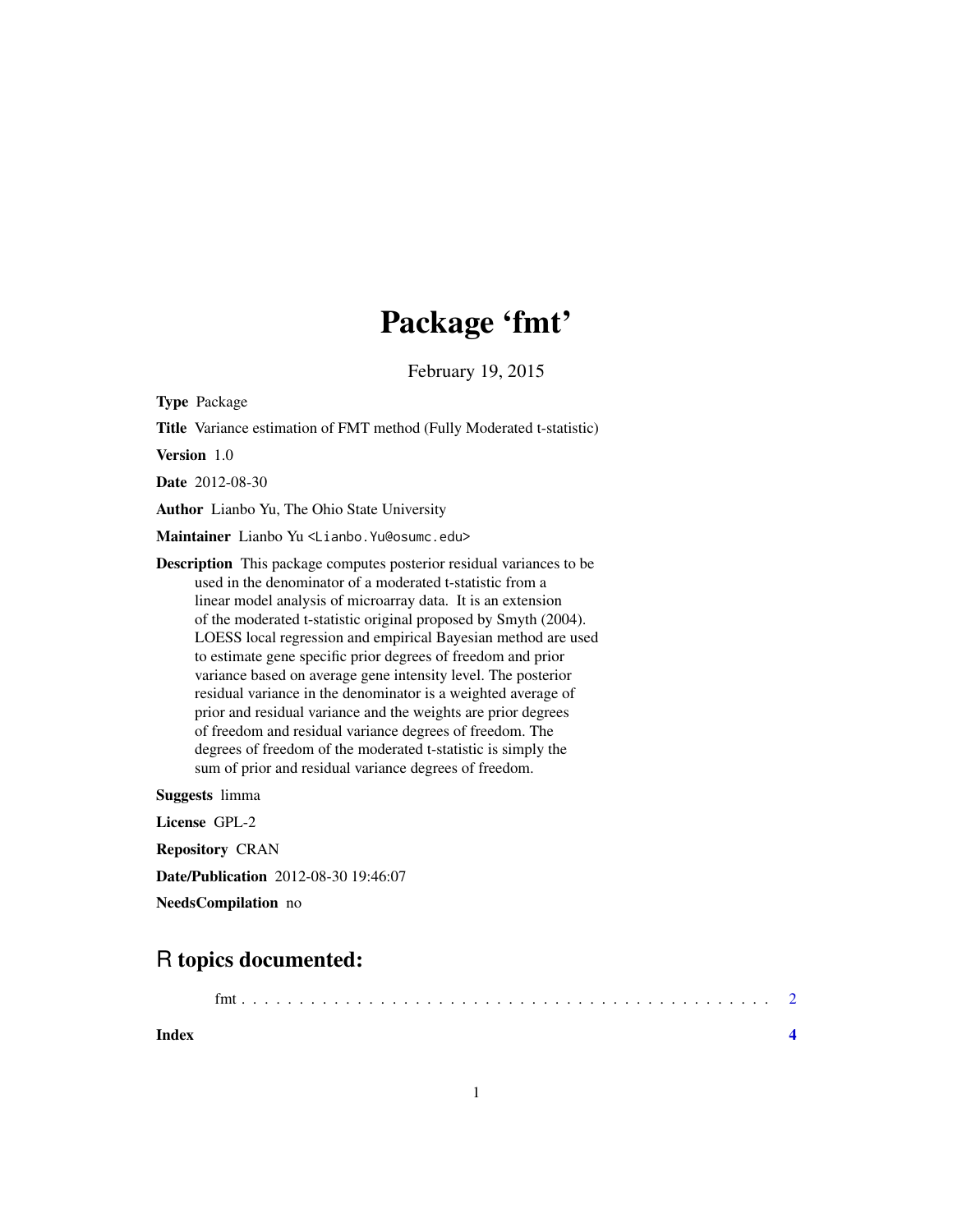## Package 'fmt'

February 19, 2015

Type Package

Title Variance estimation of FMT method (Fully Moderated t-statistic)

Version 1.0

Date 2012-08-30

Author Lianbo Yu, The Ohio State University

Maintainer Lianbo Yu <Lianbo.Yu@osumc.edu>

Description This package computes posterior residual variances to be used in the denominator of a moderated t-statistic from a linear model analysis of microarray data. It is an extension of the moderated t-statistic original proposed by Smyth (2004). LOESS local regression and empirical Bayesian method are used to estimate gene specific prior degrees of freedom and prior variance based on average gene intensity level. The posterior residual variance in the denominator is a weighted average of prior and residual variance and the weights are prior degrees of freedom and residual variance degrees of freedom. The degrees of freedom of the moderated t-statistic is simply the sum of prior and residual variance degrees of freedom.

Suggests limma

License GPL-2 Repository CRAN Date/Publication 2012-08-30 19:46:07

NeedsCompilation no

### R topics documented:

| Index |  |  |  |  |  |  |  |  |  |  |  |  |  |  |  |  |
|-------|--|--|--|--|--|--|--|--|--|--|--|--|--|--|--|--|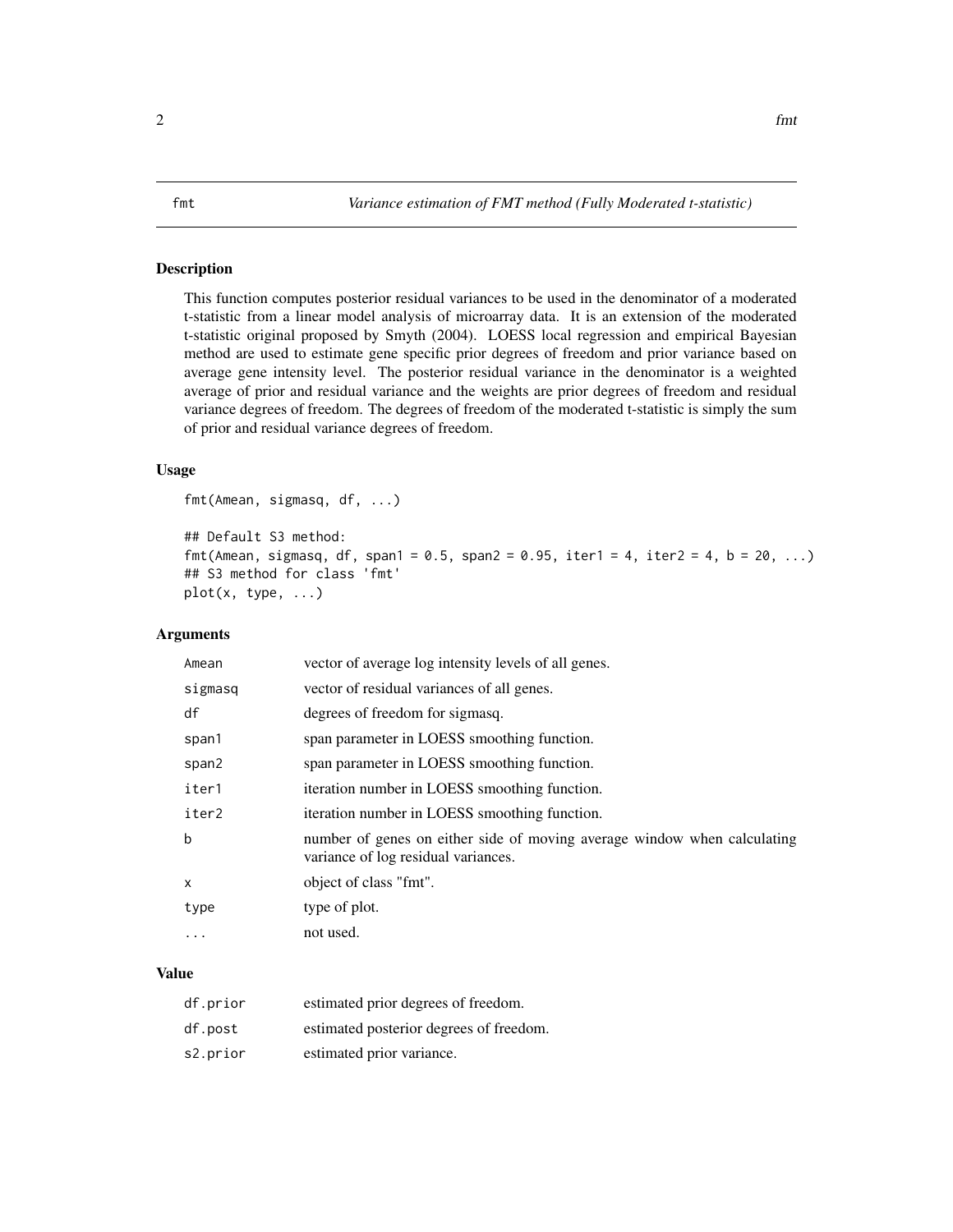#### <span id="page-1-0"></span>Description

This function computes posterior residual variances to be used in the denominator of a moderated t-statistic from a linear model analysis of microarray data. It is an extension of the moderated t-statistic original proposed by Smyth (2004). LOESS local regression and empirical Bayesian method are used to estimate gene specific prior degrees of freedom and prior variance based on average gene intensity level. The posterior residual variance in the denominator is a weighted average of prior and residual variance and the weights are prior degrees of freedom and residual variance degrees of freedom. The degrees of freedom of the moderated t-statistic is simply the sum of prior and residual variance degrees of freedom.

#### Usage

fmt(Amean, sigmasq, df, ...)

```
## Default S3 method:
fmt(Amean, sigmasq, df, span1 = 0.5, span2 = 0.95, iter1 = 4, iter2 = 4, b = 20, ...)
## S3 method for class 'fmt'
plot(x, type, ...)
```
#### Arguments

| Amean   | vector of average log intensity levels of all genes.                                                            |
|---------|-----------------------------------------------------------------------------------------------------------------|
| sigmasq | vector of residual variances of all genes.                                                                      |
| df      | degrees of freedom for sigmasq.                                                                                 |
| span1   | span parameter in LOESS smoothing function.                                                                     |
| span2   | span parameter in LOESS smoothing function.                                                                     |
| iter1   | iteration number in LOESS smoothing function.                                                                   |
| iter2   | iteration number in LOESS smoothing function.                                                                   |
| b       | number of genes on either side of moving average window when calculating<br>variance of log residual variances. |
| X       | object of class "fmt".                                                                                          |
| type    | type of plot.                                                                                                   |
| .       | not used.                                                                                                       |

#### Value

| df.prior | estimated prior degrees of freedom.     |
|----------|-----------------------------------------|
| df.post  | estimated posterior degrees of freedom. |
| s2.prior | estimated prior variance.               |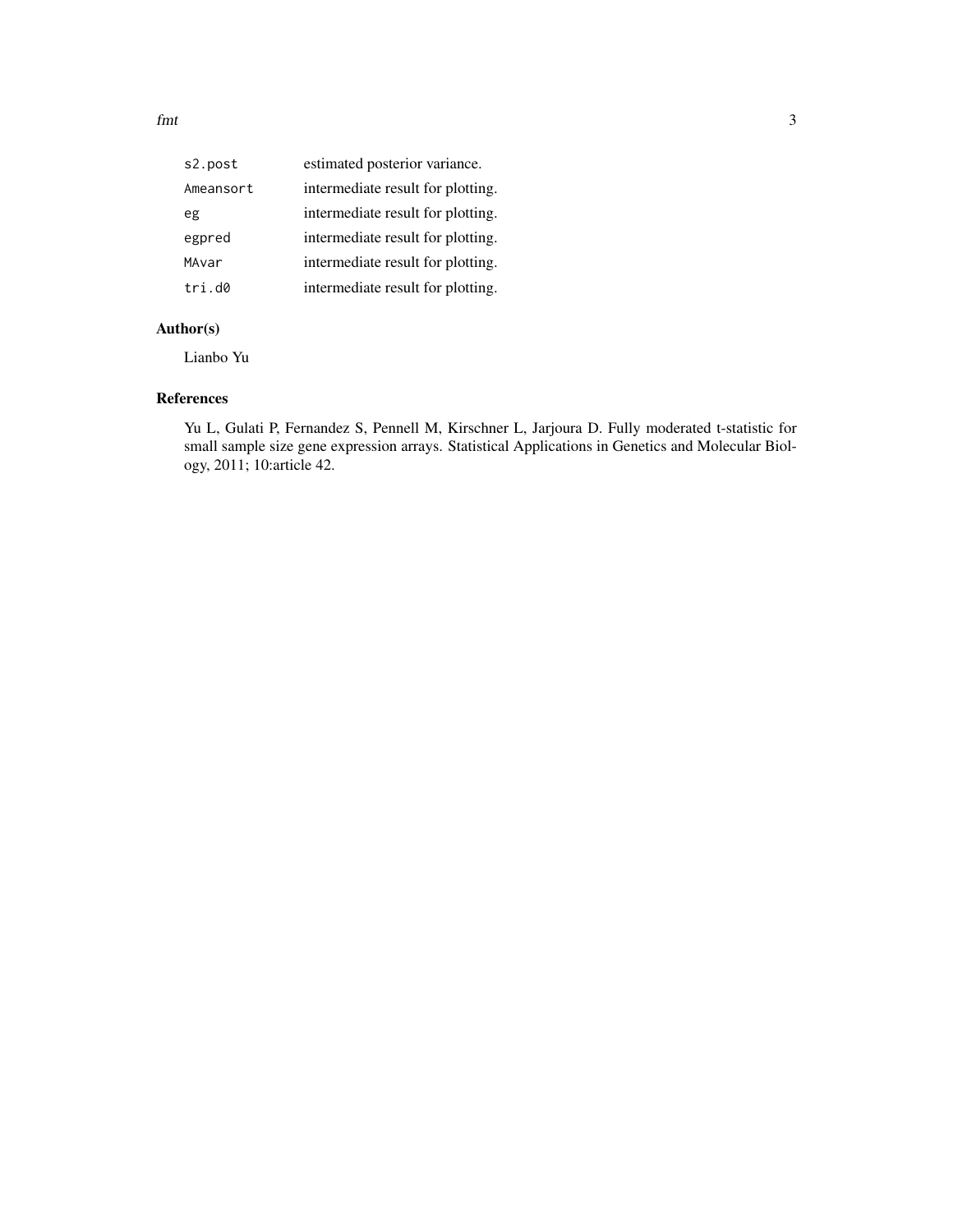| s2.post   | estimated posterior variance.     |
|-----------|-----------------------------------|
| Ameansort | intermediate result for plotting. |
| eg        | intermediate result for plotting. |
| egpred    | intermediate result for plotting. |
| MAvar     | intermediate result for plotting. |
| tri.d0    | intermediate result for plotting. |
|           |                                   |

#### Author(s)

Lianbo Yu

#### References

Yu L, Gulati P, Fernandez S, Pennell M, Kirschner L, Jarjoura D. Fully moderated t-statistic for small sample size gene expression arrays. Statistical Applications in Genetics and Molecular Biology, 2011; 10:article 42.